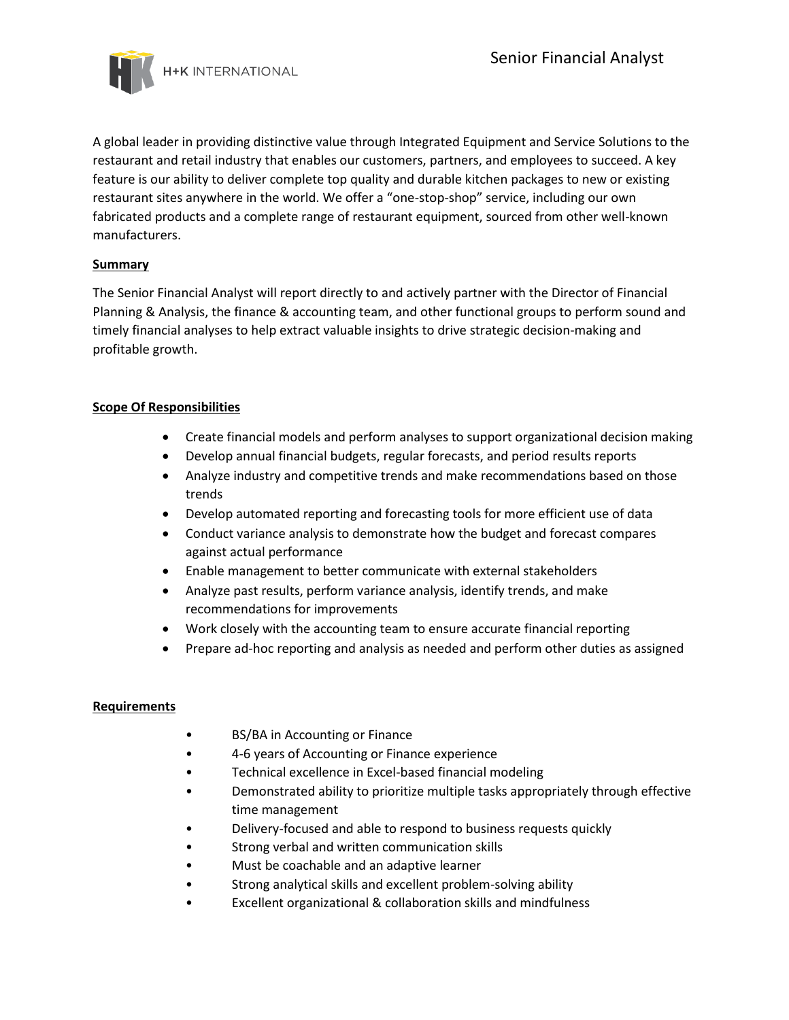

A global leader in providing distinctive value through Integrated Equipment and Service Solutions to the restaurant and retail industry that enables our customers, partners, and employees to succeed. A key feature is our ability to deliver complete top quality and durable kitchen packages to new or existing restaurant sites anywhere in the world. We offer a "one-stop-shop" service, including our own fabricated products and a complete range of restaurant equipment, sourced from other well-known manufacturers.

## **Summary**

The Senior Financial Analyst will report directly to and actively partner with the Director of Financial Planning & Analysis, the finance & accounting team, and other functional groups to perform sound and timely financial analyses to help extract valuable insights to drive strategic decision-making and profitable growth.

## **Scope Of Responsibilities**

- Create financial models and perform analyses to support organizational decision making
- Develop annual financial budgets, regular forecasts, and period results reports
- Analyze industry and competitive trends and make recommendations based on those trends
- Develop automated reporting and forecasting tools for more efficient use of data
- Conduct variance analysis to demonstrate how the budget and forecast compares against actual performance
- Enable management to better communicate with external stakeholders
- Analyze past results, perform variance analysis, identify trends, and make recommendations for improvements
- Work closely with the accounting team to ensure accurate financial reporting
- Prepare ad-hoc reporting and analysis as needed and perform other duties as assigned

## **Requirements**

- BS/BA in Accounting or Finance
- 4-6 years of Accounting or Finance experience
- Technical excellence in Excel-based financial modeling
- Demonstrated ability to prioritize multiple tasks appropriately through effective time management
- Delivery-focused and able to respond to business requests quickly
- Strong verbal and written communication skills
- Must be coachable and an adaptive learner
- Strong analytical skills and excellent problem-solving ability
- Excellent organizational & collaboration skills and mindfulness